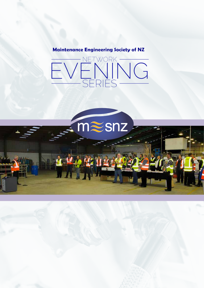# **Maintenance Engineering Society of NZ**



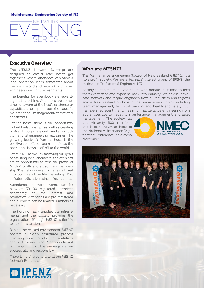### **Maintenance Engineering Society of NZ**

### **Executive Overview**

The MESNZ Network Evenings are designed as casual after hours get together's where attendees can view a local operation, learn something about the host's world and network with other engineers over light refreshments.

The benefits for everybody are rewarding and surprising. Attendees are sometimes unaware of the host's existence or capabilities, or appreciate the specific maintenance management/operational constraints.

For the hosts, there is the opportunity to build relationships as well as creating profile through relevant media, including national engineering magazines. The glowing feedback from all hosts is the positive spinoffs for team morale as the operation shows itself off to the world.

For MESNZ, as well as satisfying our goals of assisting local engineers, the evenings are an opportunity to raise the profile of MESNZ locally and attract new membership. The network evening series is linked into our overall profile marketing. This includes radio advertising in key regions.

Attendance at most events can be between 30-100 registered attendees depending on the interest and promotion. Attendees are pre-registered and numbers can be limited numbers as necessary.

The host normally supplies the refreshments and the society provides the organisation although MESNZ is flexible to suit the situation.

Behind the relaxed environment, MESNZ operate a highly structured process involving local society representatives and professional Event Managers tasked with ensuring that the evenings are run successfully and responsibly

There is no charge to attend the MESNZ Network Evenings.



### Who are MESNZ?

The Maintenance Engineering Society of New Zealand (MESNZ) is a non profit society. We are a technical interest group of IPENZ, the Institute of Professional Engineers, NZ.

Society members are all volunteers who donate their time to feed their experience and expertise back into industry. We advise, advocate, network and inspire engineers from all industries and regions across New Zealand on holistic line management topics including team management, technical training and health and safety. Our members represent the full realm of maintenance engineering from apprenticeships to trades to maintenance management, and asset

management. The society has approximately 500 members and is best known as hosts of the National Maintenance Engineering Conference, held every November.



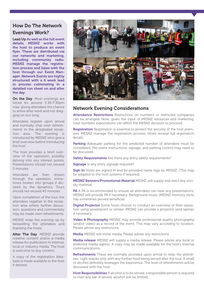# How Do The Network Evenings Work?

Lead Up As well as the full event details, MESNZ works with the host to produce an event flyer. These are distributed via our networks and marketing, including community radio. MESNZ manage the registration process and liaise with the host through our Event Manager. Network Events are highly structured with a 6 week lead in process culminating in a detailed run sheet on and after the day

On the Day. Most evenings are timed for around 5:30-7:30pm max, giving attendees the chance to arrive after work and not dragging on too long.

Attendees register upon arrival and normally chat over refreshments in the designated reception area. The evening is introduced by MESNZ who give a brief overview before introducing the host.

The host provides a brief overview of the operation, possibly delving into any interest points, Presentations should not exceed 5 minutes.

Attendees are then shown through the operation, sometimes broken into groups if dictated by the dynamics. Tours should not exceed 45 minutes.

Upon completion of the tour, the attendees regather in the reception area where further discussion, questions and commentary may be made over refreshments.

MESNZ wrap the evening up by farewelling the attendees and thanking the hosts.

After The Day. MESNZ provide creative content and/or a media release for publication in internal, local or industry media. The host is welcome to any content.

A copy of the registration database is made available to the host if desired.



## Network Evening Considerations

Attendance Restrictions Restrictions on numbers or restricted companies can be arranged. Note, given the input of MESNZ resources and marketing, total numbers expectations can affect the MESNZ decision to proceed.

**Registration** Registration is essential to protect the security of the host premises. MESNZ manage the registration process. Hosts receive full registration details.

Parking Adequate parking for the predicted number of attendees must be considered. Pre-event instructions, signage, and parking control may need to be discussed.

Safety Requirements Are there any entry safety requirements?

Signage Is any entry signage required?

Sign In Hosts are signed in and be provided name tags by MESNZ. (This may be adapted to the host systems if required).

MESNZ Banners/Promotional Material MESNZ will supply and erect any society material.

**PA** A PA is recommended to ensure all attendees can hear any presentations. MESNZ will provide PA if necessary. Background music (MESNZ memory stick) has sometimes proved beneficial.

Digital Projector Some hosts choose to conduct an overview of their operation using powerpoint or similar. MESNZ can provide a projector (and laptop) if necessary.

Video & Photography MESNZ may provide professional quality photography (and/or video) as a record of the event. This may vary according to location. Please advise any restrictions.

Media MESNZ will invite media. Please advise any restrictions.

**Media release** MESNZ will supply a media release. Please advise any local or preferred media agents. A copy may be made available for the host's internal communications.

Refreshments These are normally provided upon arrival to relax the attendees. Light snacks only with any further food being served after the tour. A small of alcohol definitely leverages the experience. The level of refreshments will be discussed with the host.

Host Responsibilities If alcohol is to be served, a responsible person is required to man any bar. If served, alcohol will be limited.